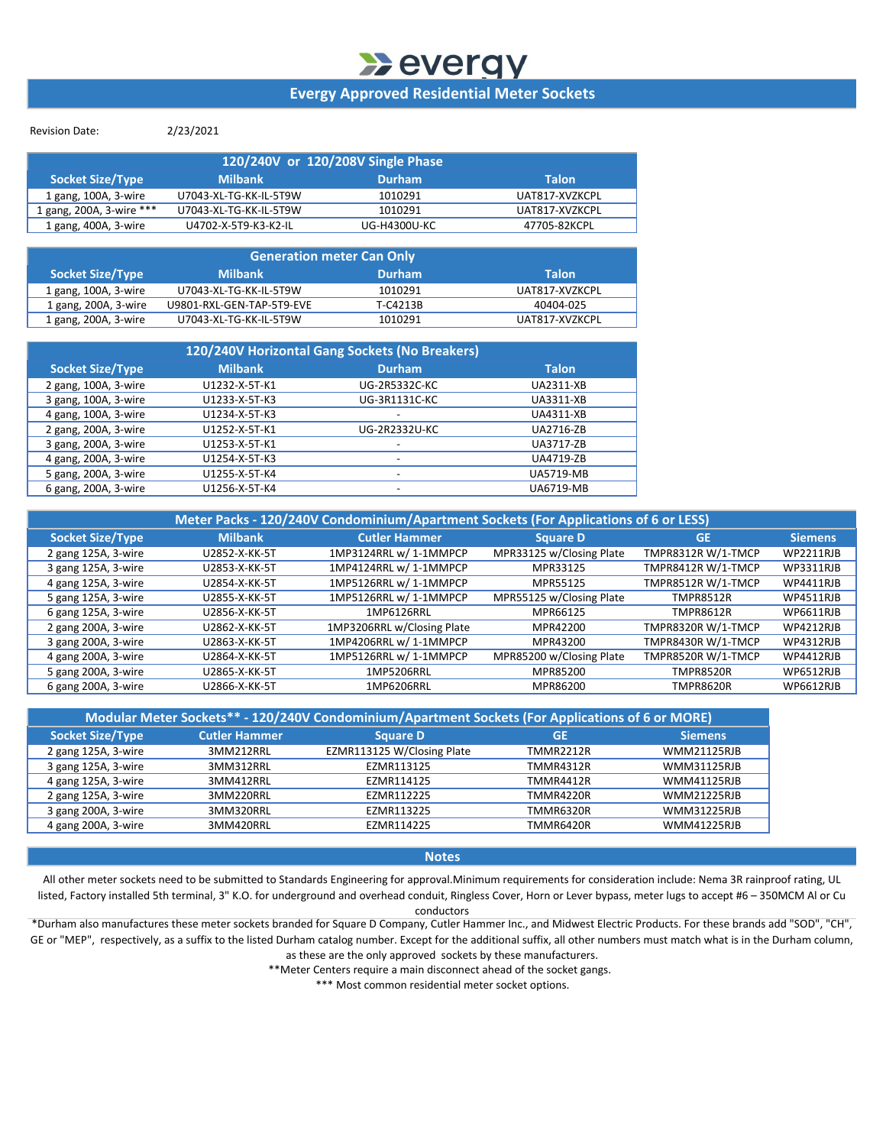## **Wevergy Evergy Approved Residential Meter Sockets**

Revision Date: 2/23/2021

| 120/240V or 120/208V Single Phase |                        |               |                |  |  |  |  |  |
|-----------------------------------|------------------------|---------------|----------------|--|--|--|--|--|
| <b>Socket Size/Type</b>           | <b>Milbank</b>         | <b>Durham</b> | <b>Talon</b>   |  |  |  |  |  |
| 1 gang, 100A, 3-wire              | U7043-XL-TG-KK-IL-5T9W | 1010291       | UAT817-XVZKCPL |  |  |  |  |  |
| 1 gang, 200A, 3-wire ***          | U7043-XL-TG-KK-IL-5T9W | 1010291       | UAT817-XVZKCPL |  |  |  |  |  |
| 1 gang, 400A, 3-wire              | U4702-X-5T9-K3-K2-IL   | UG-H4300U-KC  | 47705-82KCPL   |  |  |  |  |  |

| <b>Generation meter Can Only</b> |                           |               |                |  |  |  |  |  |
|----------------------------------|---------------------------|---------------|----------------|--|--|--|--|--|
| <b>Socket Size/Type</b>          | <b>Milbank</b>            | <b>Durham</b> | <b>Talon</b>   |  |  |  |  |  |
| 1 gang, 100A, 3-wire             | U7043-XL-TG-KK-IL-5T9W    | 1010291       | UAT817-XVZKCPL |  |  |  |  |  |
| 1 gang, 200A, 3-wire             | U9801-RXL-GEN-TAP-5T9-EVE | T-C4213B      | 40404-025      |  |  |  |  |  |
| 1 gang, 200A, 3-wire             | U7043-XL-TG-KK-IL-5T9W    | 1010291       | UAT817-XVZKCPL |  |  |  |  |  |

| 120/240V Horizontal Gang Sockets (No Breakers) |                |                          |                  |  |  |  |  |  |
|------------------------------------------------|----------------|--------------------------|------------------|--|--|--|--|--|
| <b>Socket Size/Type</b>                        | <b>Milbank</b> | Durham                   | <b>Talon</b>     |  |  |  |  |  |
| 2 gang, 100A, 3-wire                           | U1232-X-5T-K1  | <b>UG-2R5332C-KC</b>     | <b>UA2311-XB</b> |  |  |  |  |  |
| 3 gang, 100A, 3-wire                           | U1233-X-5T-K3  | UG-3R1131C-KC            | <b>UA3311-XB</b> |  |  |  |  |  |
| 4 gang, 100A, 3-wire                           | U1234-X-5T-K3  | $\overline{\phantom{a}}$ | <b>UA4311-XB</b> |  |  |  |  |  |
| 2 gang, 200A, 3-wire                           | U1252-X-5T-K1  | UG-2R2332U-KC            | <b>UA2716-ZB</b> |  |  |  |  |  |
| 3 gang, 200A, 3-wire                           | U1253-X-5T-K1  | $\overline{\phantom{a}}$ | UA3717-ZB        |  |  |  |  |  |
| 4 gang, 200A, 3-wire                           | U1254-X-5T-K3  | $\overline{\phantom{a}}$ | <b>UA4719-ZB</b> |  |  |  |  |  |
| 5 gang, 200A, 3-wire                           | U1255-X-5T-K4  | $\overline{\phantom{0}}$ | <b>UA5719-MB</b> |  |  |  |  |  |
| 6 gang, 200A, 3-wire                           | U1256-X-5T-K4  | $\overline{\phantom{0}}$ | <b>UA6719-MB</b> |  |  |  |  |  |

| Meter Packs - 120/240V Condominium/Apartment Sockets (For Applications of 6 or LESS) |                |                            |                          |                    |                  |  |  |  |  |
|--------------------------------------------------------------------------------------|----------------|----------------------------|--------------------------|--------------------|------------------|--|--|--|--|
| <b>Socket Size/Type</b>                                                              | <b>Milbank</b> | <b>Cutler Hammer</b>       | <b>Square D</b>          | <b>GE</b>          | <b>Siemens</b>   |  |  |  |  |
| 2 gang 125A, 3-wire                                                                  | U2852-X-KK-5T  | 1MP3124RRL w/ 1-1MMPCP     | MPR33125 w/Closing Plate | TMPR8312R W/1-TMCP | WP2211RJB        |  |  |  |  |
| 3 gang 125A, 3-wire                                                                  | U2853-X-KK-5T  | 1MP4124RRL w/ 1-1MMPCP     | MPR33125                 | TMPR8412R W/1-TMCP | WP3311RJB        |  |  |  |  |
| 4 gang 125A, 3-wire                                                                  | U2854-X-KK-5T  | 1MP5126RRL w/ 1-1MMPCP     | MPR55125                 | TMPR8512R W/1-TMCP | WP4411RJB        |  |  |  |  |
| 5 gang 125A, 3-wire                                                                  | U2855-X-KK-5T  | 1MP5126RRL w/ 1-1MMPCP     | MPR55125 w/Closing Plate | <b>TMPR8512R</b>   | WP4511RJB        |  |  |  |  |
| 6 gang 125A, 3-wire                                                                  | U2856-X-KK-5T  | 1MP6126RRL                 | MPR66125                 | <b>TMPR8612R</b>   | <b>WP6611RJB</b> |  |  |  |  |
| 2 gang 200A, 3-wire                                                                  | U2862-X-KK-5T  | 1MP3206RRL w/Closing Plate | MPR42200                 | TMPR8320R W/1-TMCP | WP4212RJB        |  |  |  |  |
| 3 gang 200A, 3-wire                                                                  | U2863-X-KK-5T  | 1MP4206RRL w/ 1-1MMPCP     | MPR43200                 | TMPR8430R W/1-TMCP | <b>WP4312RJB</b> |  |  |  |  |
| 4 gang 200A, 3-wire                                                                  | U2864-X-KK-5T  | 1MP5126RRL w/ 1-1MMPCP     | MPR85200 w/Closing Plate | TMPR8520R W/1-TMCP | <b>WP4412RJB</b> |  |  |  |  |
| 5 gang 200A, 3-wire                                                                  | U2865-X-KK-5T  | 1MP5206RRL                 | MPR85200                 | <b>TMPR8520R</b>   | <b>WP6512RJB</b> |  |  |  |  |
| 6 gang 200A, 3-wire                                                                  | U2866-X-KK-5T  | 1MP6206RRL                 | MPR86200                 | <b>TMPR8620R</b>   | WP6612RJB        |  |  |  |  |

| Modular Meter Sockets** - 120/240V Condominium/Apartment Sockets (For Applications of 6 or MORE) |                      |                            |                  |                    |  |  |  |  |
|--------------------------------------------------------------------------------------------------|----------------------|----------------------------|------------------|--------------------|--|--|--|--|
| <b>Socket Size/Type</b>                                                                          | <b>Cutler Hammer</b> | <b>Square D</b>            | <b>GE</b>        | <b>Siemens</b>     |  |  |  |  |
| 2 gang 125A, 3-wire                                                                              | 3MM212RRL            | EZMR113125 W/Closing Plate | TMMR2212R        | <b>WMM21125RJB</b> |  |  |  |  |
| 3 gang 125A, 3-wire                                                                              | 3MM312RRL            | EZMR113125                 | TMMR4312R        | <b>WMM31125RJB</b> |  |  |  |  |
| 4 gang 125A, 3-wire                                                                              | 3MM412RRL            | EZMR114125                 | TMMR4412R        | <b>WMM41125RJB</b> |  |  |  |  |
| 2 gang 125A, 3-wire                                                                              | 3MM220RRL            | EZMR112225                 | TMMR4220R        | <b>WMM21225RJB</b> |  |  |  |  |
| 3 gang 200A, 3-wire                                                                              | 3MM320RRL            | EZMR113225                 | <b>TMMR6320R</b> | <b>WMM31225RJB</b> |  |  |  |  |
| 4 gang 200A, 3-wire                                                                              | 3MM420RRL            | EZMR114225                 | TMMR6420R        | <b>WMM41225RJB</b> |  |  |  |  |

**Notes**

All other meter sockets need to be submitted to Standards Engineering for approval.Minimum requirements for consideration include: Nema 3R rainproof rating, UL listed, Factory installed 5th terminal, 3" K.O. for underground and overhead conduit, Ringless Cover, Horn or Lever bypass, meter lugs to accept #6 – 350MCM Al or Cu

conductors

\*Durham also manufactures these meter sockets branded for Square D Company, Cutler Hammer Inc., and Midwest Electric Products. For these brands add "SOD", "CH", GE or "MEP", respectively, as a suffix to the listed Durham catalog number. Except for the additional suffix, all other numbers must match what is in the Durham column, as these are the only approved sockets by these manufacturers.

\*\*Meter Centers require a main disconnect ahead of the socket gangs.

\*\*\* Most common residential meter socket options.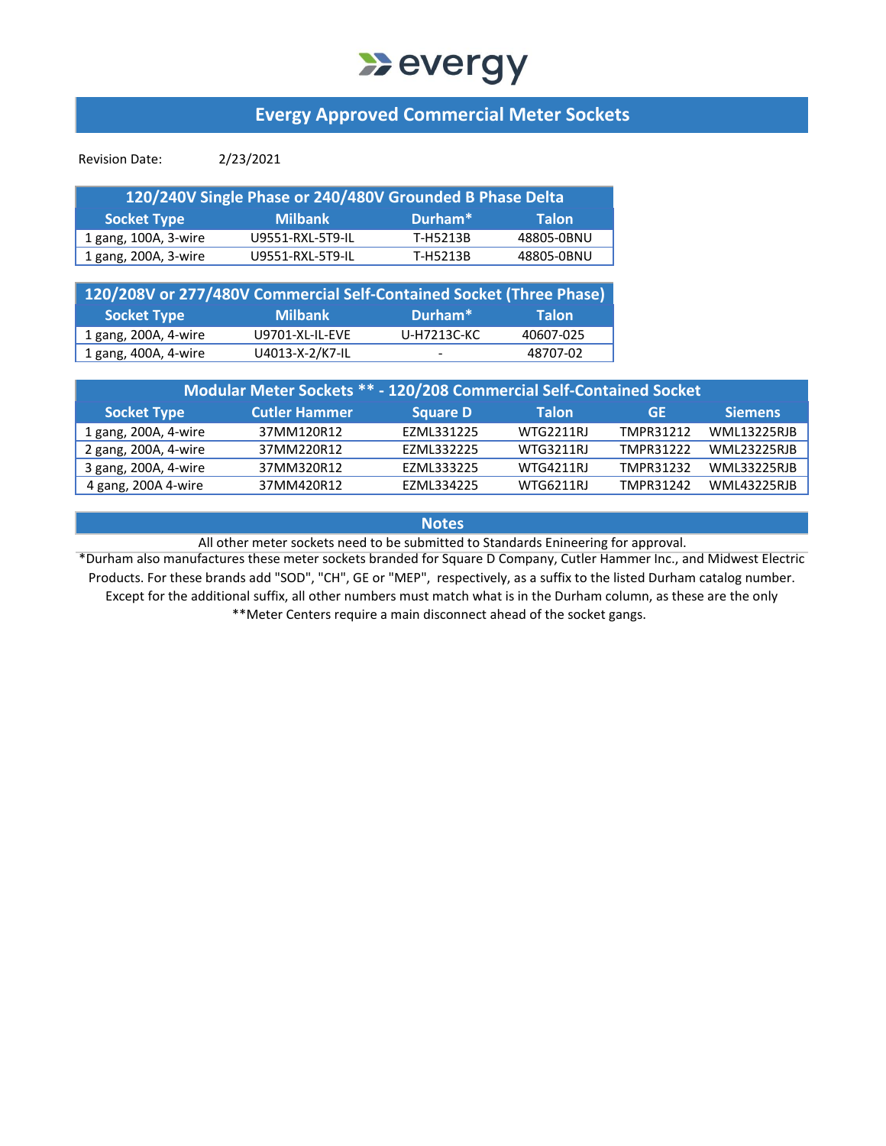## **Devergy**

### **Evergy Approved Commercial Meter Sockets**

Revision Date: 2/23/2021

| 120/240V Single Phase or 240/480V Grounded B Phase Delta |                  |                     |              |  |  |  |  |
|----------------------------------------------------------|------------------|---------------------|--------------|--|--|--|--|
| <b>Socket Type</b>                                       | <b>Milbank</b>   | Durham <sup>*</sup> | <b>Talon</b> |  |  |  |  |
| 1 gang, 100A, 3-wire                                     | U9551-RXL-5T9-IL | T-H5213B            | 48805-0BNU   |  |  |  |  |
| 1 gang, 200A, 3-wire                                     | U9551-RXL-5T9-IL | T-H5213B            | 48805-0BNU   |  |  |  |  |

| 120/208V or 277/480V Commercial Self-Contained Socket (Three Phase) |                 |                          |              |
|---------------------------------------------------------------------|-----------------|--------------------------|--------------|
| <b>Socket Type</b>                                                  | <b>Milbank</b>  | Durham <sup>*</sup>      | <b>Talon</b> |
| 1 gang, 200A, 4-wire                                                | U9701-XL-IL-EVE | U-H7213C-KC              | 40607-025    |
| 1 gang, 400A, 4-wire                                                | U4013-X-2/K7-IL | $\overline{\phantom{0}}$ | 48707-02     |

| Modular Meter Sockets ** - 120/208 Commercial Self-Contained Socket |                      |                 |                  |           |                    |  |  |  |  |
|---------------------------------------------------------------------|----------------------|-----------------|------------------|-----------|--------------------|--|--|--|--|
| <b>Socket Type</b>                                                  | <b>Cutler Hammer</b> | <b>Square D</b> | Talon            | GE        | <b>Siemens</b>     |  |  |  |  |
| 1 gang, 200A, 4-wire                                                | 37MM120R12           | EZML331225      | WTG2211RJ        | TMPR31212 | <b>WML13225RJB</b> |  |  |  |  |
| 2 gang, 200A, 4-wire                                                | 37MM220R12           | F7MI 332225     | <b>WTG3211RI</b> | TMPR31222 | <b>WML23225RJB</b> |  |  |  |  |
| 3 gang, 200A, 4-wire                                                | 37MM320R12           | EZML333225      | WTG4211RJ        | TMPR31232 | <b>WML33225RJB</b> |  |  |  |  |
| 4 gang, 200A 4-wire                                                 | 37MM420R12           | EZML334225      | <b>WTG6211RJ</b> | TMPR31242 | <b>WML43225RJB</b> |  |  |  |  |

#### **Notes**

All other meter sockets need to be submitted to Standards Enineering for approval.

\*Durham also manufactures these meter sockets branded for Square D Company, Cutler Hammer Inc., and Midwest Electric Products. For these brands add "SOD", "CH", GE or "MEP", respectively, as a suffix to the listed Durham catalog number. Except for the additional suffix, all other numbers must match what is in the Durham column, as these are the only \*\*Meter Centers require a main disconnect ahead of the socket gangs.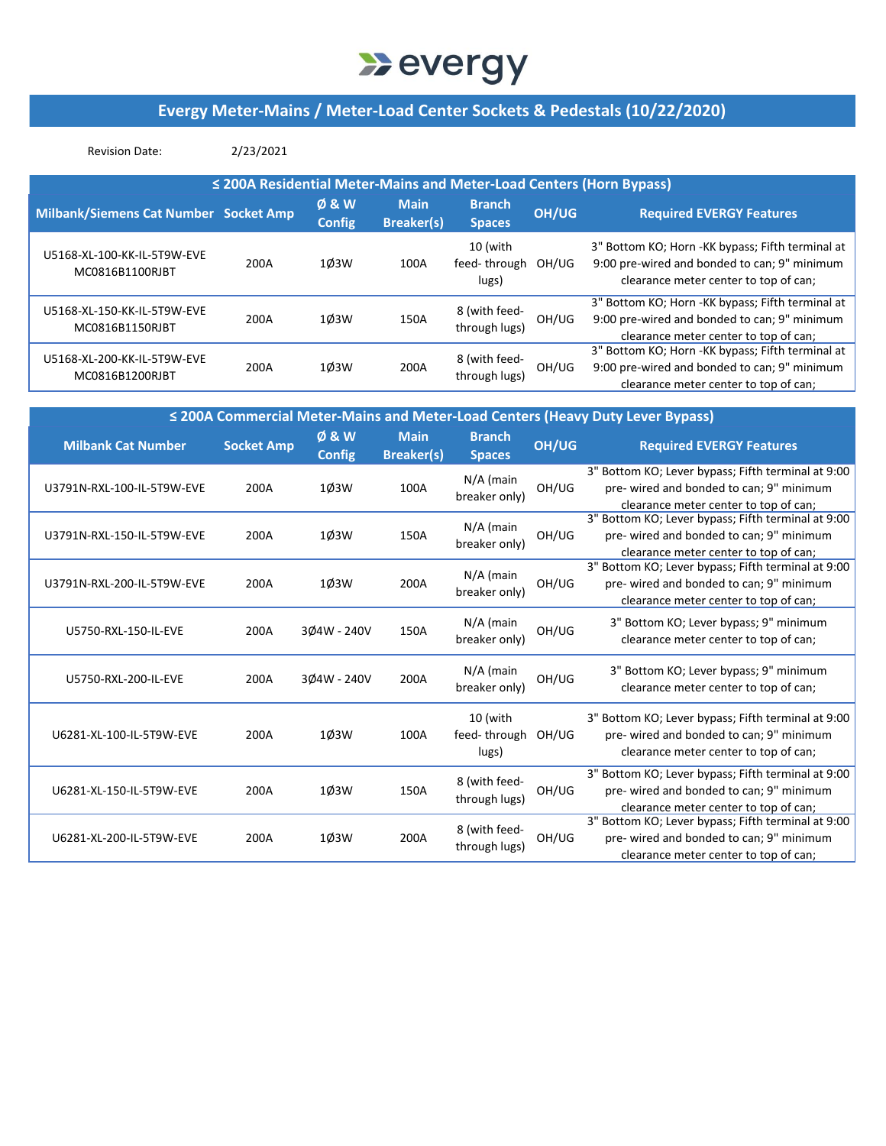## **Devergy**

### **Evergy Meter‐Mains / Meter‐Load Center Sockets & Pedestals (10/22/2020)**

| <b>Revision Date:</b>                                               | 2/23/2021 |                                 |                                  |                                   |       |                                                                                                                                            |  |  |  |
|---------------------------------------------------------------------|-----------|---------------------------------|----------------------------------|-----------------------------------|-------|--------------------------------------------------------------------------------------------------------------------------------------------|--|--|--|
| ≤ 200A Residential Meter-Mains and Meter-Load Centers (Horn Bypass) |           |                                 |                                  |                                   |       |                                                                                                                                            |  |  |  |
| <b>Milbank/Siemens Cat Number Socket Amp</b>                        |           | <b>Ø&amp;W</b><br><b>Config</b> | <b>Main</b><br><b>Breaker(s)</b> | <b>Branch</b><br><b>Spaces</b>    | OH/UG | <b>Required EVERGY Features</b>                                                                                                            |  |  |  |
| U5168-XL-100-KK-IL-5T9W-EVE<br>MC0816B1100RJBT                      | 200A      | 10 <sub>3</sub> W               | 100A                             | 10 (with<br>feed-through<br>lugs) | OH/UG | 3" Bottom KO; Horn - KK bypass; Fifth terminal at<br>9:00 pre-wired and bonded to can; 9" minimum<br>clearance meter center to top of can; |  |  |  |
| U5168-XL-150-KK-IL-5T9W-EVE<br>MC0816B1150RJBT                      | 200A      | 10 <sub>3</sub> W               | 150A                             | 8 (with feed-<br>through lugs)    | OH/UG | 3" Bottom KO; Horn -KK bypass; Fifth terminal at<br>9:00 pre-wired and bonded to can; 9" minimum<br>clearance meter center to top of can;  |  |  |  |
| U5168-XL-200-KK-IL-5T9W-EVE<br>MC0816B1200RJBT                      | 200A      | 10 <sub>3</sub> W               | 200A                             | 8 (with feed-<br>through lugs)    | OH/UG | 3" Bottom KO; Horn - KK bypass; Fifth terminal at<br>9:00 pre-wired and bonded to can; 9" minimum<br>clearance meter center to top of can; |  |  |  |

| ≤ 200A Commercial Meter-Mains and Meter-Load Centers (Heavy Duty Lever Bypass) |                   |                        |                                  |                                         |       |                                                                                                                                         |  |
|--------------------------------------------------------------------------------|-------------------|------------------------|----------------------------------|-----------------------------------------|-------|-----------------------------------------------------------------------------------------------------------------------------------------|--|
| <b>Milbank Cat Number</b>                                                      | <b>Socket Amp</b> | Ø & W<br><b>Config</b> | <b>Main</b><br><b>Breaker(s)</b> | <b>Branch</b><br><b>Spaces</b>          | OH/UG | <b>Required EVERGY Features</b>                                                                                                         |  |
| U3791N-RXL-100-IL-5T9W-EVE                                                     | 200A              | 1Ø3W                   | 100A                             | $N/A$ (main<br>breaker only)            | OH/UG | 3" Bottom KO; Lever bypass; Fifth terminal at 9:00<br>pre- wired and bonded to can; 9" minimum<br>clearance meter center to top of can; |  |
| U3791N-RXL-150-IL-5T9W-EVE                                                     | 200A              | 10 <sub>3</sub> W      | 150A                             | $N/A$ (main<br>breaker only)            | OH/UG | 3" Bottom KO; Lever bypass; Fifth terminal at 9:00<br>pre-wired and bonded to can; 9" minimum<br>clearance meter center to top of can;  |  |
| U3791N-RXL-200-IL-5T9W-EVE                                                     | 200A              | 10 <sub>3</sub> W      | 200A                             | $N/A$ (main<br>breaker only)            | OH/UG | 3" Bottom KO; Lever bypass; Fifth terminal at 9:00<br>pre- wired and bonded to can; 9" minimum<br>clearance meter center to top of can; |  |
| U5750-RXL-150-IL-EVE                                                           | 200A              | 3Ø4W - 240V            | 150A                             | $N/A$ (main<br>breaker only)            | OH/UG | 3" Bottom KO; Lever bypass; 9" minimum<br>clearance meter center to top of can;                                                         |  |
| U5750-RXL-200-IL-EVE                                                           | 200A              | 304W - 240V            | 200A                             | $N/A$ (main<br>breaker only)            | OH/UG | 3" Bottom KO; Lever bypass; 9" minimum<br>clearance meter center to top of can;                                                         |  |
| U6281-XL-100-IL-5T9W-EVE                                                       | 200A              | 1Ø3W                   | 100A                             | 10 (with<br>feed-through OH/UG<br>lugs) |       | 3" Bottom KO; Lever bypass; Fifth terminal at 9:00<br>pre-wired and bonded to can; 9" minimum<br>clearance meter center to top of can;  |  |
| U6281-XL-150-IL-5T9W-EVE                                                       | 200A              | 10 <sub>3</sub> W      | 150A                             | 8 (with feed-<br>through lugs)          | OH/UG | 3" Bottom KO; Lever bypass; Fifth terminal at 9:00<br>pre- wired and bonded to can; 9" minimum<br>clearance meter center to top of can; |  |
| U6281-XL-200-IL-5T9W-EVE                                                       | 200A              | 10 <sub>3</sub> W      | 200A                             | 8 (with feed-<br>through lugs)          | OH/UG | 3" Bottom KO; Lever bypass; Fifth terminal at 9:00<br>pre- wired and bonded to can; 9" minimum<br>clearance meter center to top of can; |  |